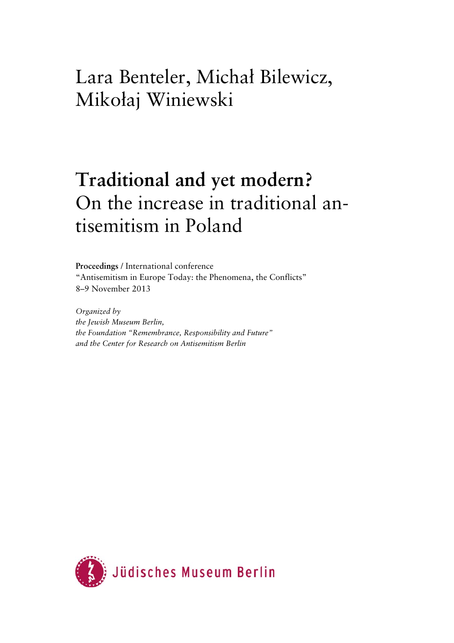# Lara Benteler, Michał Bilewicz, Mikołaj Winiewski

# **Traditional and yet modern?**  On the increase in traditional antisemitism in Poland

**Proceedings** / International conference "Antisemitism in Europe Today: the Phenomena, the Conflicts" 8–9 November 2013

*Organized by the Jewish Museum Berlin, the Foundation "Remembrance, Responsibility and Future" and the Center for Research on Antisemitism Berlin* 

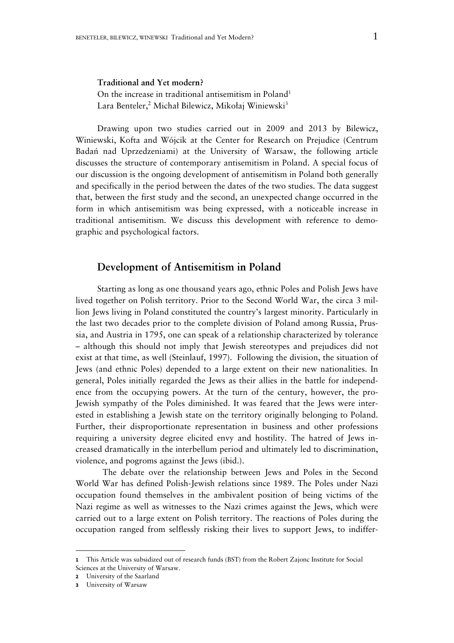# **Traditional and Yet modern?**

On the increase in traditional antisemitism in Poland<sup>1</sup> Lara Benteler,<sup>2</sup> Michał Bilewicz, Mikołaj Winiewski<sup>3</sup>

Drawing upon two studies carried out in 2009 and 2013 by Bilewicz, Winiewski, Kofta and Wójcik at the Center for Research on Prejudice (Centrum Badań nad Uprzedzeniami) at the University of Warsaw, the following article discusses the structure of contemporary antisemitism in Poland. A special focus of our discussion is the ongoing development of antisemitism in Poland both generally and specifically in the period between the dates of the two studies. The data suggest that, between the first study and the second, an unexpected change occurred in the form in which antisemitism was being expressed, with a noticeable increase in traditional antisemitism. We discuss this development with reference to demographic and psychological factors.

# **Development of Antisemitism in Poland**

Starting as long as one thousand years ago, ethnic Poles and Polish Jews have lived together on Polish territory. Prior to the Second World War, the circa 3 million Jews living in Poland constituted the country's largest minority. Particularly in the last two decades prior to the complete division of Poland among Russia, Prussia, and Austria in 1795, one can speak of a relationship characterized by tolerance – although this should not imply that Jewish stereotypes and prejudices did not exist at that time, as well (Steinlauf, 1997). Following the division, the situation of Jews (and ethnic Poles) depended to a large extent on their new nationalities. In general, Poles initially regarded the Jews as their allies in the battle for independence from the occupying powers. At the turn of the century, however, the pro-Jewish sympathy of the Poles diminished. It was feared that the Jews were interested in establishing a Jewish state on the territory originally belonging to Poland. Further, their disproportionate representation in business and other professions requiring a university degree elicited envy and hostility. The hatred of Jews increased dramatically in the interbellum period and ultimately led to discrimination, violence, and pogroms against the Jews (ibid.).

 The debate over the relationship between Jews and Poles in the Second World War has defined Polish-Jewish relations since 1989. The Poles under Nazi occupation found themselves in the ambivalent position of being victims of the Nazi regime as well as witnesses to the Nazi crimes against the Jews, which were carried out to a large extent on Polish territory. The reactions of Poles during the occupation ranged from selflessly risking their lives to support Jews, to indiffer-

-

**<sup>1</sup>** This Article was subsidized out of research funds (BST) from the Robert Zajonc Institute for Social Sciences at the University of Warsaw.

**<sup>2</sup>** University of the Saarland

**<sup>3</sup>** University of Warsaw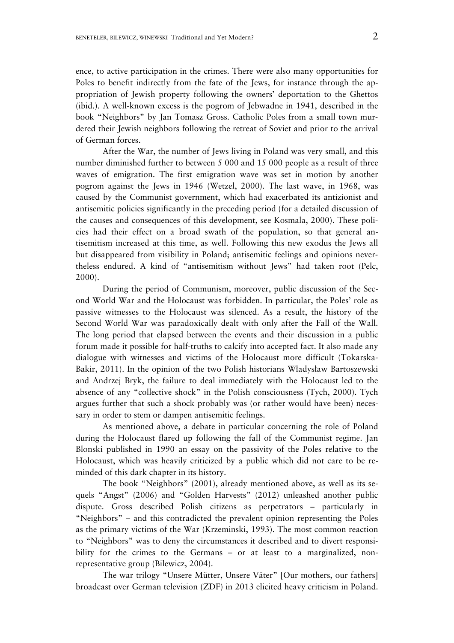ence, to active participation in the crimes. There were also many opportunities for Poles to benefit indirectly from the fate of the Jews, for instance through the appropriation of Jewish property following the owners' deportation to the Ghettos (ibid.). A well-known excess is the pogrom of Jebwadne in 1941, described in the book "Neighbors" by Jan Tomasz Gross. Catholic Poles from a small town murdered their Jewish neighbors following the retreat of Soviet and prior to the arrival of German forces.

 After the War, the number of Jews living in Poland was very small, and this number diminished further to between 5 000 and 15 000 people as a result of three waves of emigration. The first emigration wave was set in motion by another pogrom against the Jews in 1946 (Wetzel, 2000). The last wave, in 1968, was caused by the Communist government, which had exacerbated its antizionist and antisemitic policies significantly in the preceding period (for a detailed discussion of the causes and consequences of this development, see Kosmala, 2000). These policies had their effect on a broad swath of the population, so that general antisemitism increased at this time, as well. Following this new exodus the Jews all but disappeared from visibility in Poland; antisemitic feelings and opinions nevertheless endured. A kind of "antisemitism without Jews" had taken root (Pelc, 2000).

 During the period of Communism, moreover, public discussion of the Second World War and the Holocaust was forbidden. In particular, the Poles' role as passive witnesses to the Holocaust was silenced. As a result, the history of the Second World War was paradoxically dealt with only after the Fall of the Wall. The long period that elapsed between the events and their discussion in a public forum made it possible for half-truths to calcify into accepted fact. It also made any dialogue with witnesses and victims of the Holocaust more difficult (Tokarska-Bakir, 2011). In the opinion of the two Polish historians Władysław Bartoszewski and Andrzej Bryk, the failure to deal immediately with the Holocaust led to the absence of any "collective shock" in the Polish consciousness (Tych, 2000). Tych argues further that such a shock probably was (or rather would have been) necessary in order to stem or dampen antisemitic feelings.

 As mentioned above, a debate in particular concerning the role of Poland during the Holocaust flared up following the fall of the Communist regime. Jan Blonski published in 1990 an essay on the passivity of the Poles relative to the Holocaust, which was heavily criticized by a public which did not care to be reminded of this dark chapter in its history.

 The book "Neighbors" (2001), already mentioned above, as well as its sequels "Angst" (2006) and "Golden Harvests" (2012) unleashed another public dispute. Gross described Polish citizens as perpetrators – particularly in "Neighbors" – and this contradicted the prevalent opinion representing the Poles as the primary victims of the War (Krzeminski, 1993). The most common reaction to "Neighbors" was to deny the circumstances it described and to divert responsibility for the crimes to the Germans - or at least to a marginalized, nonrepresentative group (Bilewicz, 2004).

 The war trilogy "Unsere Mütter, Unsere Väter" [Our mothers, our fathers] broadcast over German television (ZDF) in 2013 elicited heavy criticism in Poland.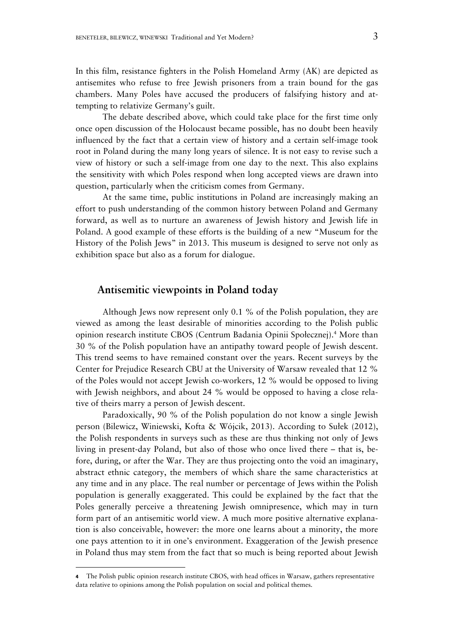In this film, resistance fighters in the Polish Homeland Army (AK) are depicted as antisemites who refuse to free Jewish prisoners from a train bound for the gas chambers. Many Poles have accused the producers of falsifying history and attempting to relativize Germany's guilt.

 The debate described above, which could take place for the first time only once open discussion of the Holocaust became possible, has no doubt been heavily influenced by the fact that a certain view of history and a certain self-image took root in Poland during the many long years of silence. It is not easy to revise such a view of history or such a self-image from one day to the next. This also explains the sensitivity with which Poles respond when long accepted views are drawn into question, particularly when the criticism comes from Germany.

 At the same time, public institutions in Poland are increasingly making an effort to push understanding of the common history between Poland and Germany forward, as well as to nurture an awareness of Jewish history and Jewish life in Poland. A good example of these efforts is the building of a new "Museum for the History of the Polish Jews" in 2013. This museum is designed to serve not only as exhibition space but also as a forum for dialogue.

## **Antisemitic viewpoints in Poland today**

 Although Jews now represent only 0.1 % of the Polish population, they are viewed as among the least desirable of minorities according to the Polish public opinion research institute CBOS (Centrum Badania Opinii Społecznej).<sup>4</sup> More than 30 % of the Polish population have an antipathy toward people of Jewish descent. This trend seems to have remained constant over the years. Recent surveys by the Center for Prejudice Research CBU at the University of Warsaw revealed that 12 % of the Poles would not accept Jewish co-workers, 12 % would be opposed to living with Jewish neighbors, and about 24 % would be opposed to having a close relative of theirs marry a person of Jewish descent.

 Paradoxically, 90 % of the Polish population do not know a single Jewish person (Bilewicz, Winiewski, Kofta & Wójcik, 2013). According to Sułek (2012), the Polish respondents in surveys such as these are thus thinking not only of Jews living in present-day Poland, but also of those who once lived there – that is, before, during, or after the War. They are thus projecting onto the void an imaginary, abstract ethnic category, the members of which share the same characteristics at any time and in any place. The real number or percentage of Jews within the Polish population is generally exaggerated. This could be explained by the fact that the Poles generally perceive a threatening Jewish omnipresence, which may in turn form part of an antisemitic world view. A much more positive alternative explanation is also conceivable, however: the more one learns about a minority, the more one pays attention to it in one's environment. Exaggeration of the Jewish presence in Poland thus may stem from the fact that so much is being reported about Jewish

-

**<sup>4</sup>** The Polish public opinion research institute CBOS, with head offices in Warsaw, gathers representative data relative to opinions among the Polish population on social and political themes.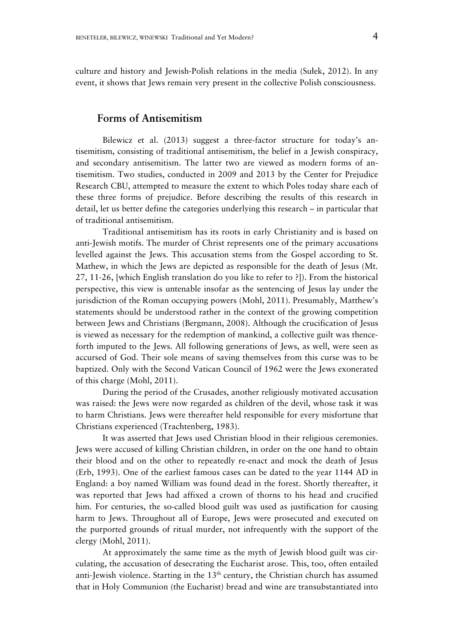culture and history and Jewish-Polish relations in the media (Sułek, 2012). In any event, it shows that Jews remain very present in the collective Polish consciousness.

# **Forms of Antisemitism**

 Bilewicz et al. (2013) suggest a three-factor structure for today's antisemitism, consisting of traditional antisemitism, the belief in a Jewish conspiracy, and secondary antisemitism. The latter two are viewed as modern forms of antisemitism. Two studies, conducted in 2009 and 2013 by the Center for Prejudice Research CBU, attempted to measure the extent to which Poles today share each of these three forms of prejudice. Before describing the results of this research in detail, let us better define the categories underlying this research – in particular that of traditional antisemitism.

 Traditional antisemitism has its roots in early Christianity and is based on anti-Jewish motifs. The murder of Christ represents one of the primary accusations levelled against the Jews. This accusation stems from the Gospel according to St. Mathew, in which the Jews are depicted as responsible for the death of Jesus (Mt. 27, 11-26, [which English translation do you like to refer to ?]). From the historical perspective, this view is untenable insofar as the sentencing of Jesus lay under the jurisdiction of the Roman occupying powers (Mohl, 2011). Presumably, Matthew's statements should be understood rather in the context of the growing competition between Jews and Christians (Bergmann, 2008). Although the crucification of Jesus is viewed as necessary for the redemption of mankind, a collective guilt was thenceforth imputed to the Jews. All following generations of Jews, as well, were seen as accursed of God. Their sole means of saving themselves from this curse was to be baptized. Only with the Second Vatican Council of 1962 were the Jews exonerated of this charge (Mohl, 2011).

 During the period of the Crusades, another religiously motivated accusation was raised: the Jews were now regarded as children of the devil, whose task it was to harm Christians. Jews were thereafter held responsible for every misfortune that Christians experienced (Trachtenberg, 1983).

 It was asserted that Jews used Christian blood in their religious ceremonies. Jews were accused of killing Christian children, in order on the one hand to obtain their blood and on the other to repeatedly re-enact and mock the death of Jesus (Erb, 1993). One of the earliest famous cases can be dated to the year 1144 AD in England: a boy named William was found dead in the forest. Shortly thereafter, it was reported that Jews had affixed a crown of thorns to his head and crucified him. For centuries, the so-called blood guilt was used as justification for causing harm to Jews. Throughout all of Europe, Jews were prosecuted and executed on the purported grounds of ritual murder, not infrequently with the support of the clergy (Mohl, 2011).

 At approximately the same time as the myth of Jewish blood guilt was circulating, the accusation of desecrating the Eucharist arose. This, too, often entailed anti-Jewish violence. Starting in the 13<sup>th</sup> century, the Christian church has assumed that in Holy Communion (the Eucharist) bread and wine are transubstantiated into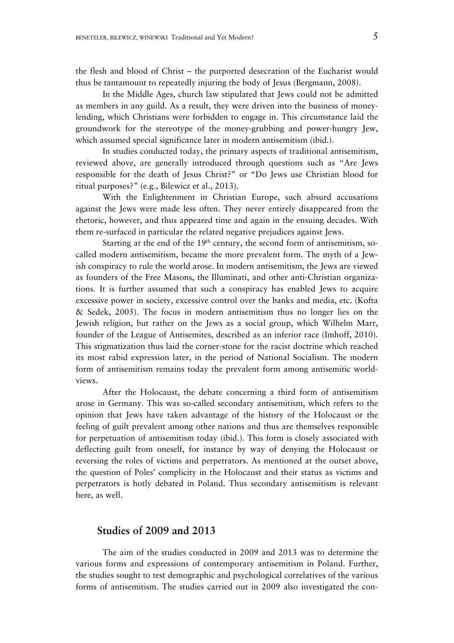the flesh and blood of Christ – the purported desecration of the Eucharist would thus be tantamount to repeatedly injuring the body of Jesus (Bergmann, 2008).

 In the Middle Ages, church law stipulated that Jews could not be admitted as members in any guild. As a result, they were driven into the business of moneylending, which Christians were forbidden to engage in. This circumstance laid the groundwork for the stereotype of the money-grubbing and power-hungry Jew, which assumed special significance later in modern antisemitism (ibid.).

 In studies conducted today, the primary aspects of traditional antisemitism, reviewed above, are generally introduced through questions such as "Are Jews responsible for the death of Jesus Christ?" or "Do Jews use Christian blood for ritual purposes?" (e.g., Bilewicz et al., 2013).

 With the Enlightenment in Christian Europe, such absurd accusations against the Jews were made less often. They never entirely disappeared from the rhetoric, however, and thus appeared time and again in the ensuing decades. With them re-surfaced in particular the related negative prejudices against Jews.

Starting at the end of the  $19<sup>th</sup>$  century, the second form of antisemitism, socalled modern antisemitism, became the more prevalent form. The myth of a Jewish conspiracy to rule the world arose. In modern antisemitism, the Jews are viewed as founders of the Free Masons, the Illuminati, and other anti-Christian organizations. It is further assumed that such a conspiracy has enabled Jews to acquire excessive power in society, excessive control over the banks and media, etc. (Kofta & Sedek, 2005). The focus in modern antisemitism thus no longer lies on the Jewish religion, but rather on the Jews as a social group, which Wilhelm Marr, founder of the League of Antisemites, described as an inferior race (Imhoff, 2010). This stigmatization thus laid the corner-stone for the racist doctrine which reached its most rabid expression later, in the period of National Socialism. The modern form of antisemitism remains today the prevalent form among antisemitic worldviews.

 After the Holocaust, the debate concerning a third form of antisemitism arose in Germany. This was so-called secondary antisemitism, which refers to the opinion that Jews have taken advantage of the history of the Holocaust or the feeling of guilt prevalent among other nations and thus are themselves responsible for perpetuation of antisemitism today (ibid.). This form is closely associated with deflecting guilt from oneself, for instance by way of denying the Holocaust or reversing the roles of victims and perpetrators. As mentioned at the outset above, the question of Poles' complicity in the Holocaust and their status as victims and perpetrators is hotly debated in Poland. Thus secondary antisemitism is relevant here, as well.

# **Studies of 2009 and 2013**

 The aim of the studies conducted in 2009 and 2013 was to determine the various forms and expressions of contemporary antisemitism in Poland. Further, the studies sought to test demographic and psychological correlatives of the various forms of antisemitism. The studies carried out in 2009 also investigated the con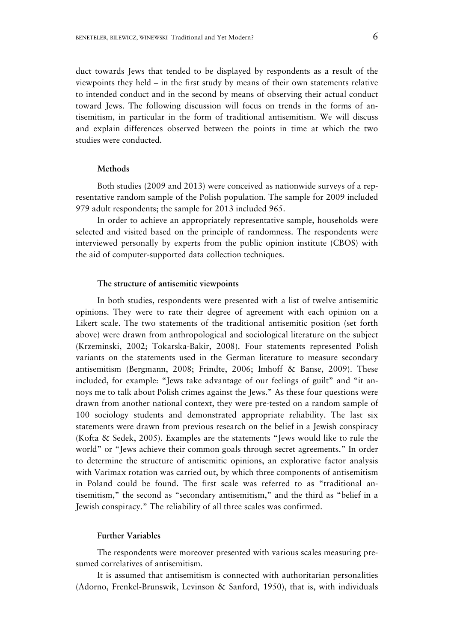duct towards Jews that tended to be displayed by respondents as a result of the viewpoints they held – in the first study by means of their own statements relative to intended conduct and in the second by means of observing their actual conduct toward Jews. The following discussion will focus on trends in the forms of antisemitism, in particular in the form of traditional antisemitism. We will discuss and explain differences observed between the points in time at which the two studies were conducted.

## **Methods**

Both studies (2009 and 2013) were conceived as nationwide surveys of a representative random sample of the Polish population. The sample for 2009 included 979 adult respondents; the sample for 2013 included 965.

In order to achieve an appropriately representative sample, households were selected and visited based on the principle of randomness. The respondents were interviewed personally by experts from the public opinion institute (CBOS) with the aid of computer-supported data collection techniques.

### **The structure of antisemitic viewpoints**

In both studies, respondents were presented with a list of twelve antisemitic opinions. They were to rate their degree of agreement with each opinion on a Likert scale. The two statements of the traditional antisemitic position (set forth above) were drawn from anthropological and sociological literature on the subject (Krzeminski, 2002; Tokarska-Bakir, 2008). Four statements represented Polish variants on the statements used in the German literature to measure secondary antisemitism (Bergmann, 2008; Frindte, 2006; Imhoff & Banse, 2009). These included, for example: "Jews take advantage of our feelings of guilt" and "it annoys me to talk about Polish crimes against the Jews." As these four questions were drawn from another national context, they were pre-tested on a random sample of 100 sociology students and demonstrated appropriate reliability. The last six statements were drawn from previous research on the belief in a Jewish conspiracy (Kofta & Sedek, 2005). Examples are the statements "Jews would like to rule the world" or "Jews achieve their common goals through secret agreements." In order to determine the structure of antisemitic opinions, an explorative factor analysis with Varimax rotation was carried out, by which three components of antisemitism in Poland could be found. The first scale was referred to as "traditional antisemitism," the second as "secondary antisemitism," and the third as "belief in a Jewish conspiracy." The reliability of all three scales was confirmed.

## **Further Variables**

The respondents were moreover presented with various scales measuring presumed correlatives of antisemitism.

It is assumed that antisemitism is connected with authoritarian personalities (Adorno, Frenkel-Brunswik, Levinson & Sanford, 1950), that is, with individuals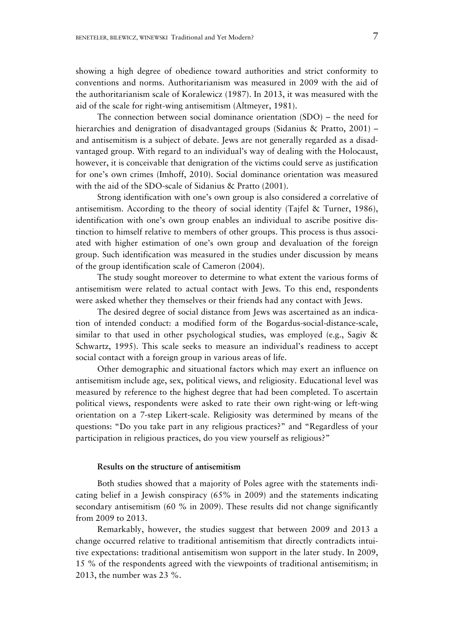showing a high degree of obedience toward authorities and strict conformity to conventions and norms. Authoritarianism was measured in 2009 with the aid of the authoritarianism scale of Koralewicz (1987). In 2013, it was measured with the aid of the scale for right-wing antisemitism (Altmeyer, 1981).

The connection between social dominance orientation (SDO) – the need for hierarchies and denigration of disadvantaged groups (Sidanius & Pratto, 2001) – and antisemitism is a subject of debate. Jews are not generally regarded as a disadvantaged group. With regard to an individual's way of dealing with the Holocaust, however, it is conceivable that denigration of the victims could serve as justification for one's own crimes (Imhoff, 2010). Social dominance orientation was measured with the aid of the SDO-scale of Sidanius & Pratto (2001).

Strong identification with one's own group is also considered a correlative of antisemitism. According to the theory of social identity (Tajfel & Turner, 1986), identification with one's own group enables an individual to ascribe positive distinction to himself relative to members of other groups. This process is thus associated with higher estimation of one's own group and devaluation of the foreign group. Such identification was measured in the studies under discussion by means of the group identification scale of Cameron (2004).

The study sought moreover to determine to what extent the various forms of antisemitism were related to actual contact with Jews. To this end, respondents were asked whether they themselves or their friends had any contact with Jews.

The desired degree of social distance from Jews was ascertained as an indication of intended conduct: a modified form of the Bogardus-social-distance-scale, similar to that used in other psychological studies, was employed (e.g., Sagiv & Schwartz, 1995). This scale seeks to measure an individual's readiness to accept social contact with a foreign group in various areas of life.

Other demographic and situational factors which may exert an influence on antisemitism include age, sex, political views, and religiosity. Educational level was measured by reference to the highest degree that had been completed. To ascertain political views, respondents were asked to rate their own right-wing or left-wing orientation on a 7-step Likert-scale. Religiosity was determined by means of the questions: "Do you take part in any religious practices?" and "Regardless of your participation in religious practices, do you view yourself as religious?"

## **Results on the structure of antisemitism**

Both studies showed that a majority of Poles agree with the statements indicating belief in a Jewish conspiracy (65% in 2009) and the statements indicating secondary antisemitism (60 % in 2009). These results did not change significantly from 2009 to 2013.

Remarkably, however, the studies suggest that between 2009 and 2013 a change occurred relative to traditional antisemitism that directly contradicts intuitive expectations: traditional antisemitism won support in the later study. In 2009, 15 % of the respondents agreed with the viewpoints of traditional antisemitism; in 2013, the number was 23 %.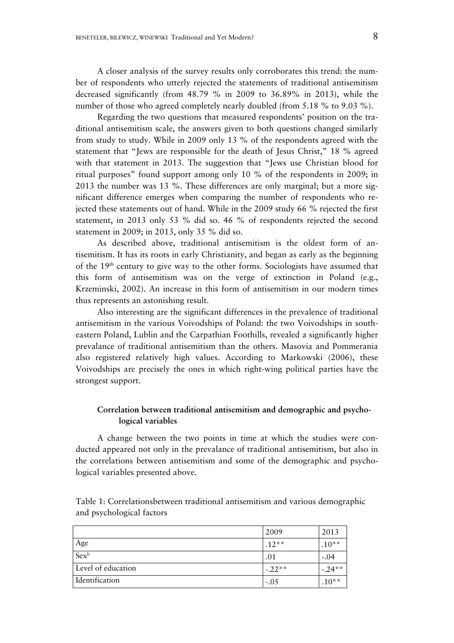A closer analysis of the survey results only corroborates this trend: the number of respondents who utterly rejected the statements of traditional antisemitism decreased significantly (from 48.79 % in 2009 to 36.89% in 2013), while the number of those who agreed completely nearly doubled (from 5.18 % to 9.03 %).

Regarding the two questions that measured respondents' position on the traditional antisemitism scale, the answers given to both questions changed similarly from study to study. While in 2009 only 13 % of the respondents agreed with the statement that "Jews are responsible for the death of Jesus Christ," 18 % agreed with that statement in 2013. The suggestion that "Jews use Christian blood for ritual purposes" found support among only 10 % of the respondents in 2009; in 2013 the number was 13 %. These differences are only marginal; but a more significant difference emerges when comparing the number of respondents who rejected these statements out of hand. While in the 2009 study 66 % rejected the first statement, in 2013 only 53 % did so. 46 % of respondents rejected the second statement in 2009; in 2013, only 35 % did so.

As described above, traditional antisemitism is the oldest form of antisemitism. It has its roots in early Christianity, and began as early as the beginning of the 19th century to give way to the other forms. Sociologists have assumed that this form of antisemitism was on the verge of extinction in Poland (e.g., Krzeminski, 2002). An increase in this form of antisemitism in our modern times thus represents an astonishing result.

Also interesting are the significant differences in the prevalence of traditional antisemitism in the various Voivodships of Poland: the two Voivodships in southeastern Poland, Lublin and the Carpathian Foothills, revealed a significantly higher prevalance of traditional antisemitism than the others. Masovia and Pommerania also registered relatively high values. According to Markowski (2006), these Voivodships are precisely the ones in which right-wing political parties have the strongest support.

# **Correlation between traditional antisemitism and demographic and psychological variables**

A change between the two points in time at which the studies were conducted appeared not only in the prevalance of traditional antisemitism, but also in the correlations between antisemitism and some of the demographic and psychological variables presented above.

|                    | 2009     | 2013     |
|--------------------|----------|----------|
| Age                | $.12**$  | $.10**$  |
| Sexb               | .01      | $-.04$   |
| Level of education | $-.22**$ | $-.24**$ |
| Identification     | $-.05$   | $.10**$  |

Table 1: Correlationsbetween traditional antisemitism and various demographic and psychological factors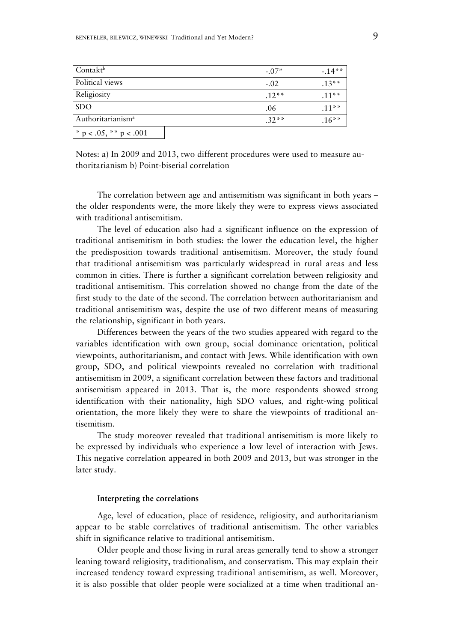| Contakt <sup>b</sup>          | $-.07*$ | $-14**$ |
|-------------------------------|---------|---------|
| Political views               | $-.02$  | $.13**$ |
| Religiosity                   | $.12**$ | $.11**$ |
| <b>SDO</b>                    | .06     | $.11**$ |
| Authoritarianism <sup>a</sup> | $.32**$ | $.16**$ |
| * $p < .05$ , ** $p < .001$   |         |         |

Notes: a) In 2009 and 2013, two different procedures were used to measure authoritarianism b) Point-biserial correlation

The correlation between age and antisemitism was significant in both years – the older respondents were, the more likely they were to express views associated with traditional antisemitism.

The level of education also had a significant influence on the expression of traditional antisemitism in both studies: the lower the education level, the higher the predisposition towards traditional antisemitism. Moreover, the study found that traditional antisemitism was particularly widespread in rural areas and less common in cities. There is further a significant correlation between religiosity and traditional antisemitism. This correlation showed no change from the date of the first study to the date of the second. The correlation between authoritarianism and traditional antisemitism was, despite the use of two different means of measuring the relationship, significant in both years.

Differences between the years of the two studies appeared with regard to the variables identification with own group, social dominance orientation, political viewpoints, authoritarianism, and contact with Jews. While identification with own group, SDO, and political viewpoints revealed no correlation with traditional antisemitism in 2009, a significant correlation between these factors and traditional antisemitism appeared in 2013. That is, the more respondents showed strong identification with their nationality, high SDO values, and right-wing political orientation, the more likely they were to share the viewpoints of traditional antisemitism.

The study moreover revealed that traditional antisemitism is more likely to be expressed by individuals who experience a low level of interaction with Jews. This negative correlation appeared in both 2009 and 2013, but was stronger in the later study.

### **Interpreting the correlations**

Age, level of education, place of residence, religiosity, and authoritarianism appear to be stable correlatives of traditional antisemitism. The other variables shift in significance relative to traditional antisemitism.

Older people and those living in rural areas generally tend to show a stronger leaning toward religiosity, traditionalism, and conservatism. This may explain their increased tendency toward expressing traditional antisemitism, as well. Moreover, it is also possible that older people were socialized at a time when traditional an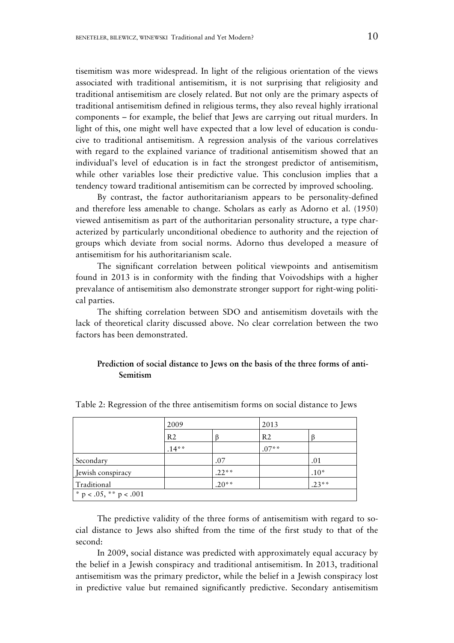tisemitism was more widespread. In light of the religious orientation of the views associated with traditional antisemitism, it is not surprising that religiosity and traditional antisemitism are closely related. But not only are the primary aspects of traditional antisemitism defined in religious terms, they also reveal highly irrational components – for example, the belief that Jews are carrying out ritual murders. In light of this, one might well have expected that a low level of education is conducive to traditional antisemitism. A regression analysis of the various correlatives with regard to the explained variance of traditional antisemitism showed that an individual's level of education is in fact the strongest predictor of antisemitism, while other variables lose their predictive value. This conclusion implies that a tendency toward traditional antisemitism can be corrected by improved schooling.

By contrast, the factor authoritarianism appears to be personality-defined and therefore less amenable to change. Scholars as early as Adorno et al. (1950) viewed antisemitism as part of the authoritarian personality structure, a type characterized by particularly unconditional obedience to authority and the rejection of groups which deviate from social norms. Adorno thus developed a measure of antisemitism for his authoritarianism scale.

The significant correlation between political viewpoints and antisemitism found in 2013 is in conformity with the finding that Voivodships with a higher prevalance of antisemitism also demonstrate stronger support for right-wing political parties.

The shifting correlation between SDO and antisemitism dovetails with the lack of theoretical clarity discussed above. No clear correlation between the two factors has been demonstrated.

# **Prediction of social distance to Jews on the basis of the three forms of anti-Semitism**

|                             | 2009           |         | 2013           |         |
|-----------------------------|----------------|---------|----------------|---------|
|                             | R <sub>2</sub> |         | R <sub>2</sub> |         |
|                             | $.14**$        |         | $.07**$        |         |
| Secondary                   |                | .07     |                | .01     |
| Jewish conspiracy           |                | $.22**$ |                | $.10*$  |
| Traditional                 |                | $.20**$ |                | $.23**$ |
| * $p < .05$ , ** $p < .001$ |                |         |                |         |

Table 2: Regression of the three antisemitism forms on social distance to Jews

The predictive validity of the three forms of antisemitism with regard to social distance to Jews also shifted from the time of the first study to that of the second:

In 2009, social distance was predicted with approximately equal accuracy by the belief in a Jewish conspiracy and traditional antisemitism. In 2013, traditional antisemitism was the primary predictor, while the belief in a Jewish conspiracy lost in predictive value but remained significantly predictive. Secondary antisemitism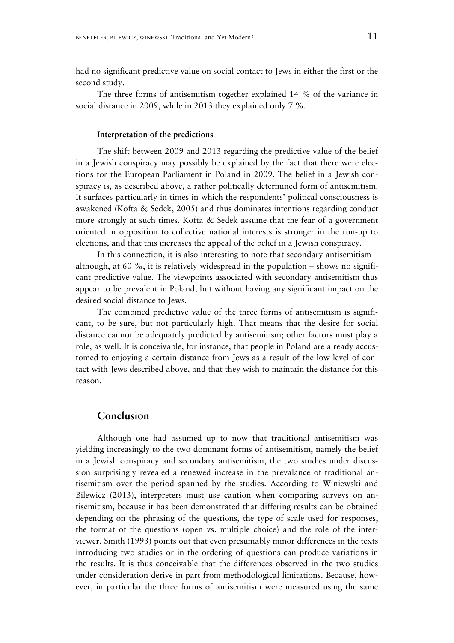had no significant predictive value on social contact to Jews in either the first or the second study.

The three forms of antisemitism together explained 14 % of the variance in social distance in 2009, while in 2013 they explained only 7 %.

### **Interpretation of the predictions**

The shift between 2009 and 2013 regarding the predictive value of the belief in a Jewish conspiracy may possibly be explained by the fact that there were elections for the European Parliament in Poland in 2009. The belief in a Jewish conspiracy is, as described above, a rather politically determined form of antisemitism. It surfaces particularly in times in which the respondents' political consciousness is awakened (Kofta & Sedek, 2005) and thus dominates intentions regarding conduct more strongly at such times. Kofta & Sedek assume that the fear of a government oriented in opposition to collective national interests is stronger in the run-up to elections, and that this increases the appeal of the belief in a Jewish conspiracy.

In this connection, it is also interesting to note that secondary antisemitism – although, at 60 %, it is relatively widespread in the population – shows no significant predictive value. The viewpoints associated with secondary antisemitism thus appear to be prevalent in Poland, but without having any significant impact on the desired social distance to Jews.

The combined predictive value of the three forms of antisemitism is significant, to be sure, but not particularly high. That means that the desire for social distance cannot be adequately predicted by antisemitism; other factors must play a role, as well. It is conceivable, for instance, that people in Poland are already accustomed to enjoying a certain distance from Jews as a result of the low level of contact with Jews described above, and that they wish to maintain the distance for this reason.

# **Conclusion**

Although one had assumed up to now that traditional antisemitism was yielding increasingly to the two dominant forms of antisemitism, namely the belief in a Jewish conspiracy and secondary antisemitism, the two studies under discussion surprisingly revealed a renewed increase in the prevalance of traditional antisemitism over the period spanned by the studies. According to Winiewski and Bilewicz (2013), interpreters must use caution when comparing surveys on antisemitism, because it has been demonstrated that differing results can be obtained depending on the phrasing of the questions, the type of scale used for responses, the format of the questions (open vs. multiple choice) and the role of the interviewer. Smith (1993) points out that even presumably minor differences in the texts introducing two studies or in the ordering of questions can produce variations in the results. It is thus conceivable that the differences observed in the two studies under consideration derive in part from methodological limitations. Because, however, in particular the three forms of antisemitism were measured using the same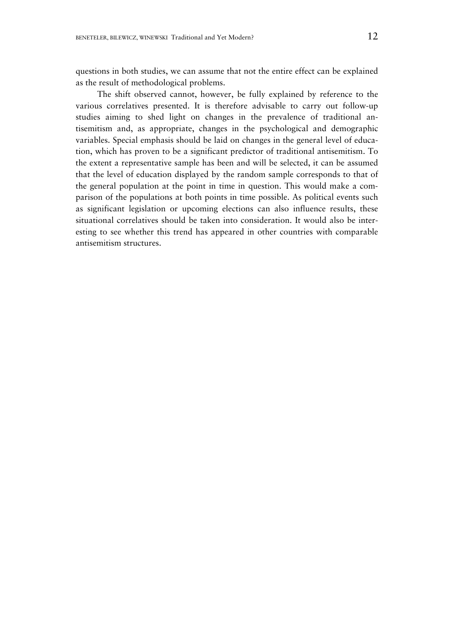questions in both studies, we can assume that not the entire effect can be explained as the result of methodological problems.

The shift observed cannot, however, be fully explained by reference to the various correlatives presented. It is therefore advisable to carry out follow-up studies aiming to shed light on changes in the prevalence of traditional antisemitism and, as appropriate, changes in the psychological and demographic variables. Special emphasis should be laid on changes in the general level of education, which has proven to be a significant predictor of traditional antisemitism. To the extent a representative sample has been and will be selected, it can be assumed that the level of education displayed by the random sample corresponds to that of the general population at the point in time in question. This would make a comparison of the populations at both points in time possible. As political events such as significant legislation or upcoming elections can also influence results, these situational correlatives should be taken into consideration. It would also be interesting to see whether this trend has appeared in other countries with comparable antisemitism structures.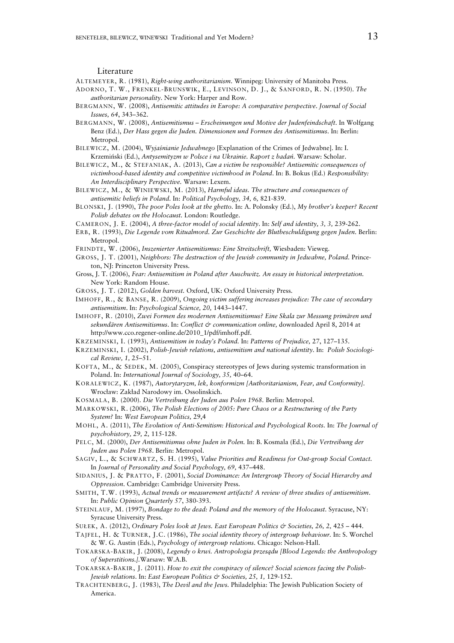#### Literature

ALTEMEYER, R. (1981), *Right-wing authoritarianism*. Winnipeg: University of Manitoba Press.

- ADORNO, T. W., FRENKEL-BRUNSWIK, E., LEVINSON, D. J., & SANFORD, R. N. (1950). *The authoritarian personality*. New York: Harper and Row.
- BERGMANN, W. (2008), *Antisemitic attitudes in Europe: A comparative perspective*. *Journal of Social Issues, 64*, 343–362.
- BERGMANN, W. (2008), *Antisemitismus Erscheinungen und Motive der Judenfeindschaft*. In Wolfgang Benz (Ed.), *Der Hass gegen die Juden. Dimensionen und Formen des Antisemitismus*. In: Berlin: Metropol.
- BILEWICZ, M. (2004), *Wyjaśnianie Jedwabnego* [Explanation of the Crimes of Jedwabne]. In: I. Krzemiński (Ed.), *Antysemityzm w Polsce i na Ukrainie. Raport z badań.* Warsaw: Scholar.
- BILEWICZ, M., & STEFANIAK, A. (2013), *Can a victim be responsible? Antisemitic consequences of victimhood-based identity and competitive victimhood in Poland*. In: B. Bokus (Ed.) *Responsibility: An Interdisciplinary Perspective.* Warsaw: Lexem.
- BILEWICZ, M., & WINIEWSKI, M. (2013), *Harmful ideas. The structure and consequences of antisemitic beliefs in Poland.* In: *Political Psychology, 34, 6,* 821-839.
- BLONSKI, J. (1990), *The poor Poles look at the ghetto.* In: A. Polonsky (Ed.), *My brother's keeper? Recent Polish debates on the Holocaust.* London: Routledge.
- CAMERON, J. E. (2004), *A three-factor model of social identity*. In: *Self and identity, 3, 3,* 239-262.
- ERB, R. (1993), *Die Legende vom Ritualmord. Zur Geschichte der Blutbeschuldigung gegen Juden.* Berlin: Metropol.
- FRINDTE, W. (2006), *Inszenierter Antisemitismus: Eine Streitschrift,* Wiesbaden: Vieweg.
- GROSS, J. T. (2001), *Neighbors: The destruction of the Jewish community in Jedwabne, Poland.* Princeton, NJ: Princeton University Press.
- Gross, J. T. (2006), *Fear: Antisemitism in Poland after Auschwitz. An essay in historical interpretation.*  New York: Random House.
- GROSS, J. T. (2012), *Golden harvest.* Oxford, UK: Oxford University Press.
- IMHOFF, R., & BANSE, R. (2009), *Ongoing victim suffering increases prejudice: The case of secondary antisemitism*. In: *Psychological Science, 20,* 1443–1447.
- IMHOFF, R. (2010), *Zwei Formen des modernen Antisemitismus? Eine Skala zur Messung primären und sekundären Antisemitismus*. In: *Conflict & communication online,* downloaded April 8, 2014 at http://www.cco.regener-online.de/2010\_1/pdf/imhoff.pdf.
- KRZEMINSKI, I. (1993), *Antisemitism in today's Poland.* In: *Patterns of Prejudice,* 27, 127–135.
- KRZEMINSKI, I. (2002), *Polish-Jewish relations, antisemitism and national identity*. In: *Polish Sociological Review, 1,* 25–51.
- KOFTA, M., & SEDEK, M. (2005), Conspiracy stereotypes of Jews during systemic transformation in Poland. In: *International Journal of Sociology, 35,* 40–64.
- KORALEWICZ, K. (1987), *Autorytaryzm, lek, konformizm [Authoritarianism, Fear, and Conformity].* Wrocław: Zakład Narodowy im. Ossolinskich.
- KOSMALA, B. (2000). *Die Vertreibung der Juden aus Polen 1968.* Berlin: Metropol.
- MARKOWSKI, R. (2006), *The Polish Elections of 2005: Pure Chaos or a Restructuring of the Party System?* In: *West European Politics,* 29,4
- MOHL, A. (2011), *The Evolution of Anti-Semitism: Historical and Psychological Roots.* In: *The Journal of psychohistory, 29, 2,* 115-128.
- PELC, M. (2000), *Der Antisemitismus ohne Juden in Polen.* In: B. Kosmala (Ed.), *Die Vertreibung der Juden aus Polen 1968*. Berlin: Metropol.
- SAGIV, L., & SCHWARTZ, S. H. (1995), *Value Priorities and Readiness for Out-group Social Contact.*  In *Journal of Personality and Social Psychology, 69,* 437–448.
- SIDANIUS, J. & PRATTO, F. (2001), *Social Dominance: An Intergroup Theory of Social Hierarchy and Oppression*. Cambridge: Cambridge University Press.
- SMITH, T.W. (1993), *Actual trends or measurement artifacts? A review of three studies of antisemitism*. In: *Public Opinion Quarterly 57*, 380-393.
- STEINLAUF, M. (1997), *Bondage to the dead: Poland and the memory of the Holocaust.* Syracuse, NY: Syracuse University Press.
- SUŁEK, A. (2012), *Ordinary Poles look at Jews. East European Politics & Societies, 26, 2,* 425 444.
- TAJFEL, H. & TURNER, J.C. (1986), *The social identity theory of intergroup behaviour.* In: S. Worchel & W. G. Austin (Eds.), *Psychology of intergroup relations.* Chicago: Nelson-Hall.
- TOKARSKA-BAKIR, J. (2008), *Legendy o krwi. Antropologia przesądu [Blood Legends: the Anthropology of Superstitions.].*Warsaw: W.A.B.
- TOKARSKA-BAKIR, J. (2011). *How to exit the conspiracy of silence? Social sciences facing the Polish-Jewish relations*. In: *East European Politics & Societies, 25, 1,* 129-152.
- TRACHTENBERG, J. (1983), *The Devil and the Jews.* Philadelphia: The Jewish Publication Society of America.